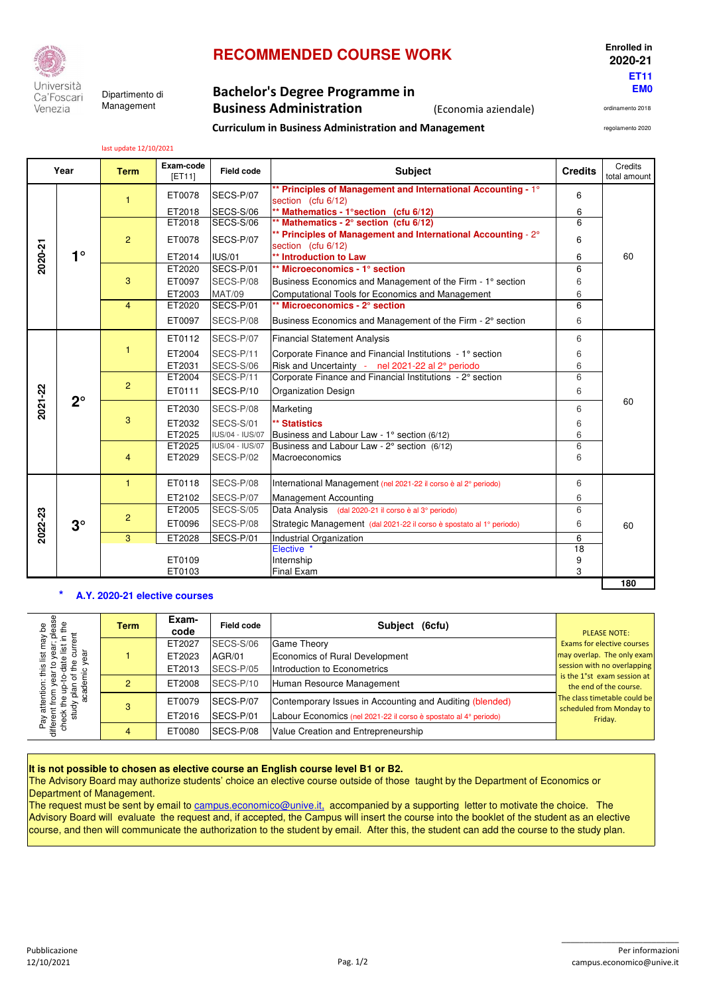

Ca'Foscari Management Venezia

# **RECOMMENDED COURSE WORK Enrolled in**

**Curriculum in Business Administration and Management**

### **EM0** Dipartimento di **Bachelor's Degree Programme in Business Administration** (Economia aziendale)

ordinamento 2018 regolamento 2020

 **2020-21 ET11**

last update 12/10/2021

| Year    |             | <b>Term</b>    | Exam-code<br><b>IET111</b> | <b>Field code</b> | <b>Subject</b>                                                                      |    | Credits<br>total amount |  |  |
|---------|-------------|----------------|----------------------------|-------------------|-------------------------------------------------------------------------------------|----|-------------------------|--|--|
|         | $1^{\circ}$ | 1.             | ET0078                     | SECS-P/07         | ** Principles of Management and International Accounting - 1°<br>section (cfu 6/12) | 6  |                         |  |  |
|         |             |                | ET2018                     | SECS-S/06         | ** Mathematics - 1° section (cfu 6/12)                                              | 6  |                         |  |  |
|         |             |                | ET2018                     | SECS-S/06         | ** Mathematics - 2° section (cfu 6/12)                                              | 6  |                         |  |  |
|         |             | $\overline{2}$ | ET0078                     | SECS-P/07         | ** Principles of Management and International Accounting - 2°<br>section (cfu 6/12) | 6  |                         |  |  |
| 2020-21 |             |                | ET2014                     | <b>IUS/01</b>     | ** Introduction to Law                                                              | 6  | 60                      |  |  |
|         |             |                | ET2020                     | SECS-P/01         | ** Microeconomics - 1° section                                                      | 6  |                         |  |  |
|         |             | 3              | ET0097                     | SECS-P/08         | Business Economics and Management of the Firm - 1° section                          | 6  |                         |  |  |
|         |             |                | ET2003                     | <b>MAT/09</b>     | Computational Tools for Economics and Management                                    | 6  |                         |  |  |
|         |             | $\overline{4}$ | ET2020                     | SECS-P/01         | ** Microeconomics - 2° section                                                      | 6  |                         |  |  |
|         |             |                | ET0097                     | SECS-P/08         | Business Economics and Management of the Firm - 2° section                          | 6  |                         |  |  |
|         | $2^{\circ}$ | 1              | ET0112                     | SECS-P/07         | <b>Financial Statement Analysis</b>                                                 | 6  |                         |  |  |
|         |             |                | ET2004                     | SECS-P/11         | Corporate Finance and Financial Institutions - 1° section                           | 6  |                         |  |  |
|         |             |                | ET2031                     | SECS-S/06         | Risk and Uncertainty - nel 2021-22 al 2° periodo                                    | 6  |                         |  |  |
|         |             |                | ET2004                     | SECS-P/11         | Corporate Finance and Financial Institutions - 2° section                           | 6  |                         |  |  |
| 2021-22 |             | $\overline{2}$ | ET0111                     | SECS-P/10         | <b>Organization Design</b>                                                          | 6  |                         |  |  |
|         |             | 3              | ET2030                     | SECS-P/08         | Marketing                                                                           | 6  | 60                      |  |  |
|         |             |                | ET2032                     | SECS-S/01         | ** Statistics                                                                       | 6  |                         |  |  |
|         |             |                | ET2025                     | IUS/04 - IUS/07   | Business and Labour Law - 1° section (6/12)                                         | 6  |                         |  |  |
|         |             |                | ET2025                     | IUS/04 - IUS/07   | Business and Labour Law - 2° section (6/12)                                         | 6  |                         |  |  |
|         |             | $\overline{4}$ | ET2029                     | SECS-P/02         | Macroeconomics                                                                      | 6  |                         |  |  |
|         | $3^\circ$   | $\mathbf{1}$   | ET0118                     | SECS-P/08         | International Management (nel 2021-22 il corso è al 2° periodo)                     | 6  |                         |  |  |
| 2022-23 |             |                | ET2102                     | SECS-P/07         | <b>Management Accounting</b>                                                        | 6  |                         |  |  |
|         |             |                | ET2005                     | SECS-S/05         | Data Analysis (dal 2020-21 il corso è al 3° periodo)                                | 6  |                         |  |  |
|         |             | $\overline{2}$ | ET0096                     | SECS-P/08         | Strategic Management (dal 2021-22 il corso è spostato al 1º periodo)                | 6  | 60                      |  |  |
|         |             | 3              | ET2028                     | SECS-P/01         | Industrial Organization                                                             | 6  |                         |  |  |
|         |             |                |                            |                   | Elective *                                                                          | 18 |                         |  |  |
|         |             |                | ET0109                     |                   | Internship                                                                          | 9  |                         |  |  |
|         |             |                | ET0103                     |                   | <b>Final Exam</b>                                                                   | 3  |                         |  |  |
|         |             |                |                            |                   |                                                                                     |    | 180                     |  |  |

#### **\* A.Y. 2020-21 elective courses**

|                                                                                                                                                                                                                     | $3^\circ$                              | $\overline{2}$ | ETZUU5                                                     | <b>SEUS-S/US</b>                       | Data Analysis (dal 2020-21 il corso e al 3º periodo)                 | b                   |                                                                                          |  |  |  |  |
|---------------------------------------------------------------------------------------------------------------------------------------------------------------------------------------------------------------------|----------------------------------------|----------------|------------------------------------------------------------|----------------------------------------|----------------------------------------------------------------------|---------------------|------------------------------------------------------------------------------------------|--|--|--|--|
| 2022-23                                                                                                                                                                                                             |                                        |                | ET0096                                                     | SECS-P/08                              | Strategic Management (dal 2021-22 il corso è spostato al 1º periodo) | 6                   | 60                                                                                       |  |  |  |  |
|                                                                                                                                                                                                                     |                                        | 3              | 6                                                          |                                        |                                                                      |                     |                                                                                          |  |  |  |  |
|                                                                                                                                                                                                                     |                                        |                |                                                            |                                        | Elective                                                             | 18                  |                                                                                          |  |  |  |  |
|                                                                                                                                                                                                                     |                                        | ET0109         |                                                            |                                        | Internship                                                           | 9                   |                                                                                          |  |  |  |  |
|                                                                                                                                                                                                                     |                                        |                | ET0103                                                     |                                        | Final Exam                                                           | 3                   |                                                                                          |  |  |  |  |
|                                                                                                                                                                                                                     | 180<br>A.Y. 2020-21 elective courses   |                |                                                            |                                        |                                                                      |                     |                                                                                          |  |  |  |  |
| year; please                                                                                                                                                                                                        |                                        | <b>Term</b>    | Exam-<br>code                                              | <b>Field code</b>                      | Subject (6cfu)                                                       | <b>PLEASE NOTE:</b> |                                                                                          |  |  |  |  |
|                                                                                                                                                                                                                     | current                                |                | ET2027                                                     | <b>SECS-S/06</b>                       | <b>Game Theory</b>                                                   |                     | <b>Exams for elective courses</b>                                                        |  |  |  |  |
|                                                                                                                                                                                                                     |                                        |                | ET2023<br>AGR/01<br>Introduction to Econometrics           |                                        | Economics of Rural Development                                       |                     | may overlap. The only exam<br>session with no overlapping<br>is the 1°st exam session at |  |  |  |  |
|                                                                                                                                                                                                                     |                                        |                | ET2013                                                     | SECS-P/05                              |                                                                      |                     |                                                                                          |  |  |  |  |
|                                                                                                                                                                                                                     |                                        | $\overline{2}$ | ET2008                                                     | SECS-P/10<br>Human Resource Management |                                                                      |                     |                                                                                          |  |  |  |  |
| Pay attention: this list may be<br>different from year to year; please<br>check the up-to-date list in the                                                                                                          | study plan of the cur<br>academic year | 3              | ET0079                                                     | SECS-P/07                              | Contemporary Issues in Accounting and Auditing (blended)             |                     | The class timetable could be<br>scheduled from Monday to<br>Friday.                      |  |  |  |  |
|                                                                                                                                                                                                                     |                                        |                | ET2016                                                     | SECS-P/01                              | Labour Economics (nel 2021-22 il corso è spostato al 4º periodo)     |                     |                                                                                          |  |  |  |  |
|                                                                                                                                                                                                                     |                                        | $\overline{4}$ | SECS-P/08<br>ET0080<br>Value Creation and Entrepreneurship |                                        |                                                                      |                     |                                                                                          |  |  |  |  |
|                                                                                                                                                                                                                     |                                        |                |                                                            |                                        |                                                                      |                     |                                                                                          |  |  |  |  |
| It is not possible to chosen as elective course an English course level B1 or B2.<br>The Advisory Board may authorize students' choice an elective course outside of those taught by the Department of Economics or |                                        |                |                                                            |                                        |                                                                      |                     |                                                                                          |  |  |  |  |
|                                                                                                                                                                                                                     | Department of Management.              |                |                                                            |                                        |                                                                      |                     |                                                                                          |  |  |  |  |
| The request must be sent by email to campus.economico@unive.it, accompanied by a supporting letter to motivate the choice. The                                                                                      |                                        |                |                                                            |                                        |                                                                      |                     |                                                                                          |  |  |  |  |
| Advisory Board will evaluate the request and, if accepted, the Campus will insert the course into the booklet of the student as an elective                                                                         |                                        |                |                                                            |                                        |                                                                      |                     |                                                                                          |  |  |  |  |
| course, and then will communicate the authorization to the student by email. After this, the student can add the course to the study plan.                                                                          |                                        |                |                                                            |                                        |                                                                      |                     |                                                                                          |  |  |  |  |

The request must be sent by email to campus.economico@unive.it, accompanied by a supporting letter to motivate the choice. The Advisory Board will evaluate the request and, if accepted, the Campus will insert the course into the booklet of the student as an elective<br>course, and then will communicate the authorization to the student by email. After